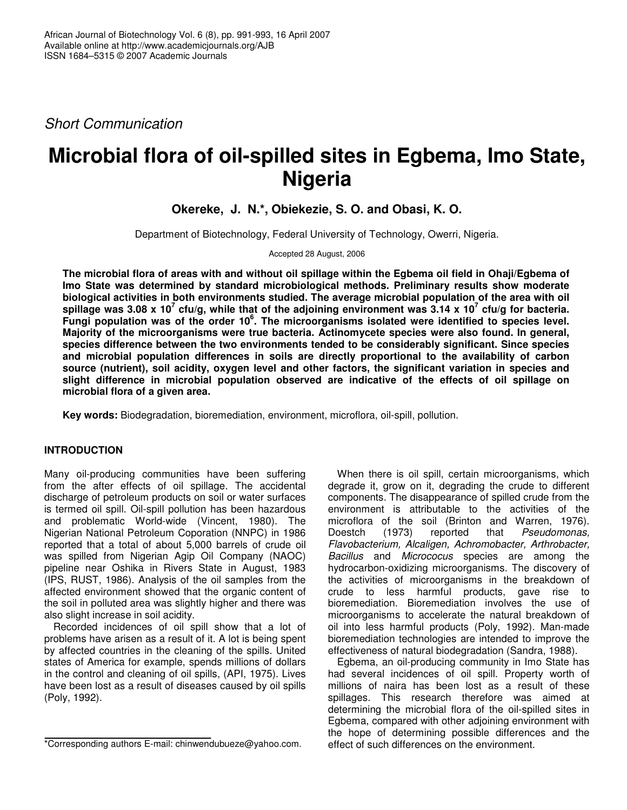*Short Communication*

# **Microbial flora of oil-spilled sites in Egbema, Imo State, Nigeria**

# **Okereke, J. N.\*, Obiekezie, S. O. and Obasi, K. O.**

Department of Biotechnology, Federal University of Technology, Owerri, Nigeria.

Accepted 28 August, 2006

The microbial flora of areas with and without oil spillage within the Egbema oil field in Ohaji/Egbema of **Imo State was determined by standard microbiological methods. Preliminary results show moderate biological activities in both environments studied. The average microbial population of the area with oil** spillage was 3.08 x 10<sup>7</sup> cfu/g, while that of the adjoining environment was 3.14 x 10<sup>7</sup> cfu/g for bacteria. **Fungi population was of the order 10 6 . The microorganisms isolated were identified to species level. Majority of the microorganisms were true bacteria. Actinomycete species were also found. In general, species difference between the two environments tended to be considerably significant. Since species and microbial population differences in soils are directly proportional to the availability of carbon source (nutrient), soil acidity, oxygen level and other factors, the significant variation in species and slight difference in microbial population observed are indicative of the effects of oil spillage on microbial flora of a given area.**

**Key words:** Biodegradation, bioremediation, environment, microflora, oil-spill, pollution.

## **INTRODUCTION**

Many oil-producing communities have been suffering from the after effects of oil spillage. The accidental discharge of petroleum products on soil or water surfaces is termed oil spill. Oil-spill pollution has been hazardous and problematic World-wide (Vincent, 1980). The Nigerian National Petroleum Coporation (NNPC) in 1986 reported that a total of about 5,000 barrels of crude oil was spilled from Nigerian Agip Oil Company (NAOC) pipeline near Oshika in Rivers State in August, 1983 (IPS, RUST, 1986). Analysis of the oil samples from the affected environment showed that the organic content of the soil in polluted area was slightly higher and there was also slight increase in soil acidity.

Recorded incidences of oil spill show that a lot of problems have arisen as a result of it. A lot is being spent by affected countries in the cleaning of the spills. United states of America for example, spends millions of dollars in the control and cleaning of oil spills, (API, 1975). Lives have been lost as a result of diseases caused by oil spills (Poly, 1992).

When there is oil spill, certain microorganisms, which degrade it, grow on it, degrading the crude to different components. The disappearance of spilled crude from the environment is attributable to the activities of the microflora of the soil (Brinton and Warren, 1976). Doestch (1973) reported that *Pseudomonas, Flavobacterium, Alcaligen, Achromobacter, Arthrobacter, Bacillus* and *Micrococus* species are among the hydrocarbon-oxidizing microorganisms. The discovery of the activities of microorganisms in the breakdown of crude to less harmful products, gave rise to bioremediation. Bioremediation involves the use of microorganisms to accelerate the natural breakdown of oil into less harmful products (Poly, 1992). Man-made bioremediation technologies are intended to improve the effectiveness of natural biodegradation (Sandra, 1988).

Egbema, an oil-producing community in Imo State has had several incidences of oil spill. Property worth of millions of naira has been lost as a result of these spillages. This research therefore was aimed at determining the microbial flora of the oil-spilled sites in Egbema, compared with other adjoining environment with the hope of determining possible differences and the effect of such differences on the environment.

<sup>\*</sup>Corresponding authors E-mail: chinwendubueze@yahoo.com.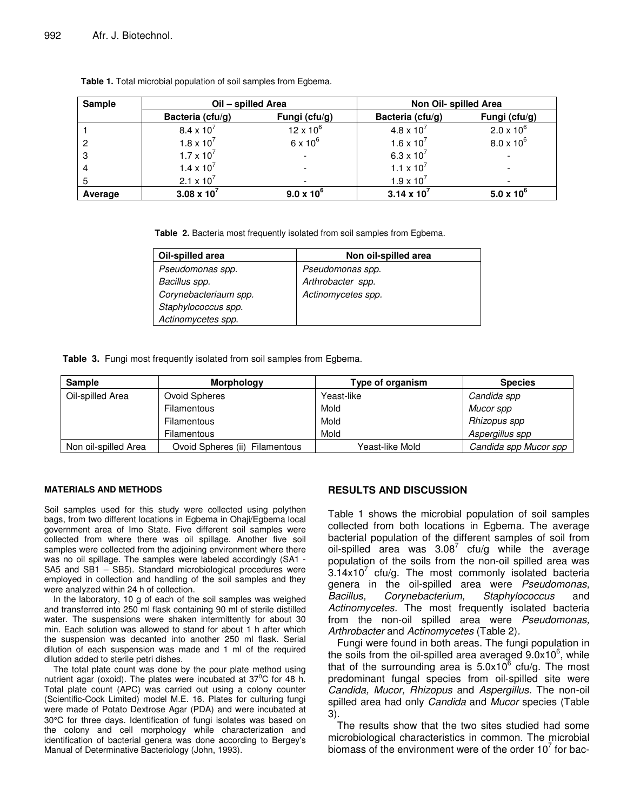| <b>Sample</b> | Oil - spilled Area  |                     | Non Oil- spilled Area        |                     |
|---------------|---------------------|---------------------|------------------------------|---------------------|
|               | Bacteria (cfu/g)    | Fungi (cfu/g)       | Bacteria (cfu/g)             | Fungi (cfu/g)       |
|               | $8.4 \times 10^{7}$ | $12 \times 10^{6}$  | $4.8 \times 10^{7}$          | $2.0 \times 10^{6}$ |
|               | $1.8 \times 10^{7}$ | $6 \times 10^6$     | $1.6 \times 10^{7}$          | $8.0 \times 10^{6}$ |
| 3             | $1.7 \times 10^{7}$ |                     | 6.3 x $10^{7}$               |                     |
|               | $1.4 \times 10^{7}$ |                     | 1.1 $\times$ 10 <sup>7</sup> |                     |
|               | 2.1 x $10^7$        |                     | $1.9 \times 10^{7}$          |                     |
| Average       | 3.08 x $10^7$       | $9.0 \times 10^{6}$ | $3.14 \times 10^{7}$         | $5.0 \times 10^{6}$ |

**Table 1.** Total microbial population of soil samples from Egbema.

**Table 2.** Bacteria most frequently isolated from soil samples from Egbema.

| Oil-spilled area      | Non oil-spilled area |  |
|-----------------------|----------------------|--|
| Pseudomonas spp.      | Pseudomonas spp.     |  |
| Bacillus spp.         | Arthrobacter spp.    |  |
| Corynebacteriaum spp. | Actinomycetes spp.   |  |
| Staphylococcus spp.   |                      |  |
| Actinomycetes spp.    |                      |  |

**Table 3.** Fungi most frequently isolated from soil samples from Egbema.

| <b>Sample</b>        | <b>Morphology</b>              | Type of organism | <b>Species</b>        |
|----------------------|--------------------------------|------------------|-----------------------|
| Oil-spilled Area     | Ovoid Spheres                  | Yeast-like       | Candida spp           |
|                      | <b>Filamentous</b>             | Mold             | Mucor spp             |
|                      | Filamentous                    | Mold             | Rhizopus spp          |
|                      | Filamentous                    | Mold             | Aspergillus spp       |
| Non oil-spilled Area | Ovoid Spheres (ii) Filamentous | Yeast-like Mold  | Candida spp Mucor spp |

#### **MATERIALS AND METHODS**

Soil samples used for this study were collected using polythen bags, from two different locations in Egbema in Ohaji/Egbema local government area of Imo State. Five different soil samples were collected from where there was oil spillage. Another five soil samples were collected from the adjoining environment where there was no oil spillage. The samples were labeled accordingly (SA1 -SA5 and SB1 – SB5). Standard microbiological procedures were employed in collection and handling of the soil samples and they were analyzed within 24 h of collection.

In the laboratory, 10 g of each of the soil samples was weighed and transferred into 250 ml flask containing 90 ml of sterile distilled water. The suspensions were shaken intermittently for about 30 min. Each solution was allowed to stand for about 1 h after which the suspension was decanted into another 250 ml flask. Serial dilution of each suspension was made and 1 ml of the required dilution added to sterile petri dishes.

The total plate count was done by the pour plate method using nutrient agar (oxoid). The plates were incubated at 37 $\mathrm{^0C}$  for 48 h. Total plate count (APC) was carried out using a colony counter (Scientific-Cock Limited) model M.E. 16. Plates for culturing fungi were made of Potato Dextrose Agar (PDA) and were incubated at 30°C for three days. Identification of fungi isolates was based on the colony and cell morphology while characterization and identification of bacterial genera was done according to Bergey's Manual of Determinative Bacteriology (John, 1993).

### **RESULTS AND DISCUSSION**

Table 1 shows the microbial population of soil samples collected from both locations in Egbema. The average bacterial population of the different samples of soil from oil-spilled area was  $3.08^7$  cfu/g while the average population of the soils from the non-oil spilled area was  $3.14\times10^7$  cfu/g. The most commonly isolated bacteria genera in the oil-spilled area were *Pseudomonas, Bacillus, Corynebacterium, Staphylococcus* and *Actinomycetes.* The most frequently isolated bacteria from the non-oil spilled area were *Pseudomonas, Arthrobacter* and *Actinomycetes* (Table 2)*.*

Fungi were found in both areas. The fungi population in the soils from the oil-spilled area averaged 9.0x10<sup>6</sup>, while that of the surrounding area is  $5.0$ x10<sup> $6$ </sup> cfu/g. The most predominant fungal species from oil-spilled site were *Candida, Mucor, Rhizopus* and *Aspergillus.* The non-oil spilled area had only *Candida* and *Mucor* species (Table 3).

The results show that the two sites studied had some microbiological characteristics in common. The microbial biomass of the environment were of the order 10 $^7$  for bac-